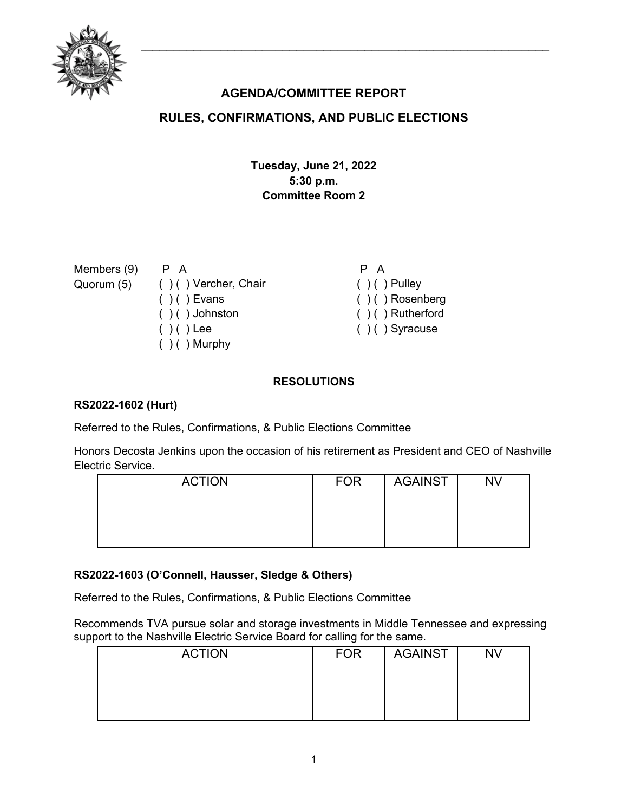

# **AGENDA/COMMITTEE REPORT**

# **RULES, CONFIRMATIONS, AND PUBLIC ELECTIONS**

**Tuesday, June 21, 2022 5:30 p.m. Committee Room 2**

| Members (9) | P A                    | P A                  |
|-------------|------------------------|----------------------|
| Quorum (5)  | ( ) ( ) Vercher, Chair | $( ) ( )$ Pulley     |
|             | $( ) ( )$ Evans        | $( )$ ( ) Rosenberg  |
|             | $( ) ( )$ Johnston     | $( ) ( )$ Rutherford |
|             | $( ) ( )$ Lee          | $( ) ( )$ Syracuse   |
|             | $( )$ ( ) Murphy       |                      |
|             |                        |                      |

#### **RESOLUTIONS**

#### **RS2022-1602 (Hurt)**

Referred to the Rules, Confirmations, & Public Elections Committee

Honors Decosta Jenkins upon the occasion of his retirement as President and CEO of Nashville Electric Service.

| <b>ACTION</b> | <b>FOR</b> | AGAINST | <b>NV</b> |
|---------------|------------|---------|-----------|
|               |            |         |           |
|               |            |         |           |

#### **RS2022-1603 (O'Connell, Hausser, Sledge & Others)**

Referred to the Rules, Confirmations, & Public Elections Committee

Recommends TVA pursue solar and storage investments in Middle Tennessee and expressing support to the Nashville Electric Service Board for calling for the same.

| <b>ACTION</b> | <b>FOR</b> | AGAINST | <b>NV</b> |
|---------------|------------|---------|-----------|
|               |            |         |           |
|               |            |         |           |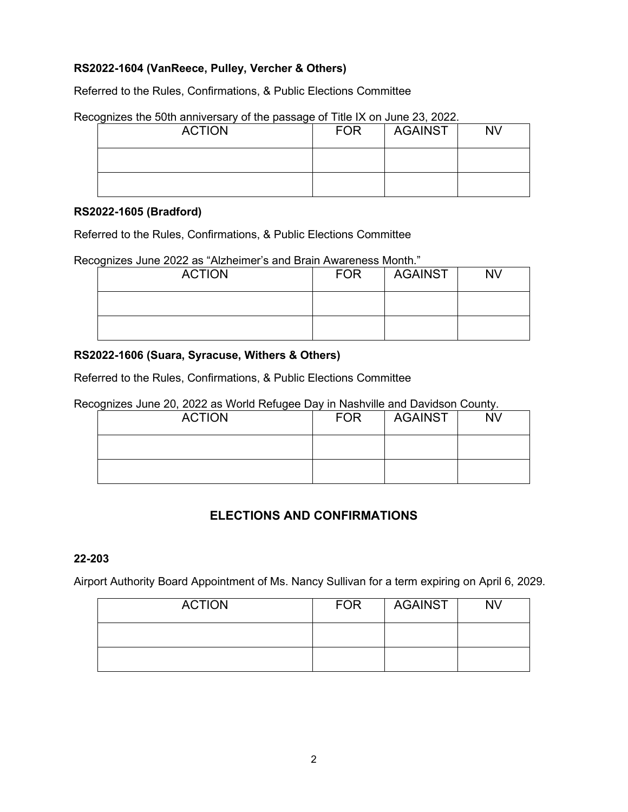# **RS2022-1604 (VanReece, Pulley, Vercher & Others)**

Referred to the Rules, Confirmations, & Public Elections Committee

| <b>ACTION</b> | <b>FOR</b> | <b>AGAINST</b> | <b>NV</b> |
|---------------|------------|----------------|-----------|
|               |            |                |           |
|               |            |                |           |

Recognizes the 50th anniversary of the passage of Title IX on June 23, 2022.

### **RS2022-1605 (Bradford)**

Referred to the Rules, Confirmations, & Public Elections Committee

Recognizes June 2022 as "Alzheimer's and Brain Awareness Month."

| <b>ACTION</b> | FOR | <b>AGAINST</b> | <b>NV</b> |
|---------------|-----|----------------|-----------|
|               |     |                |           |
|               |     |                |           |

### **RS2022-1606 (Suara, Syracuse, Withers & Others)**

Referred to the Rules, Confirmations, & Public Elections Committee

Recognizes June 20, 2022 as World Refugee Day in Nashville and Davidson County.

| <b>ACTION</b> | <b>FOR</b> | AGAINST | <b>NV</b> |
|---------------|------------|---------|-----------|
|               |            |         |           |
|               |            |         |           |

# **ELECTIONS AND CONFIRMATIONS**

#### **22-203**

Airport Authority Board Appointment of Ms. Nancy Sullivan for a term expiring on April 6, 2029.

| <b>ACTION</b> | <b>FOR</b> | AGAINST | <b>NV</b> |
|---------------|------------|---------|-----------|
|               |            |         |           |
|               |            |         |           |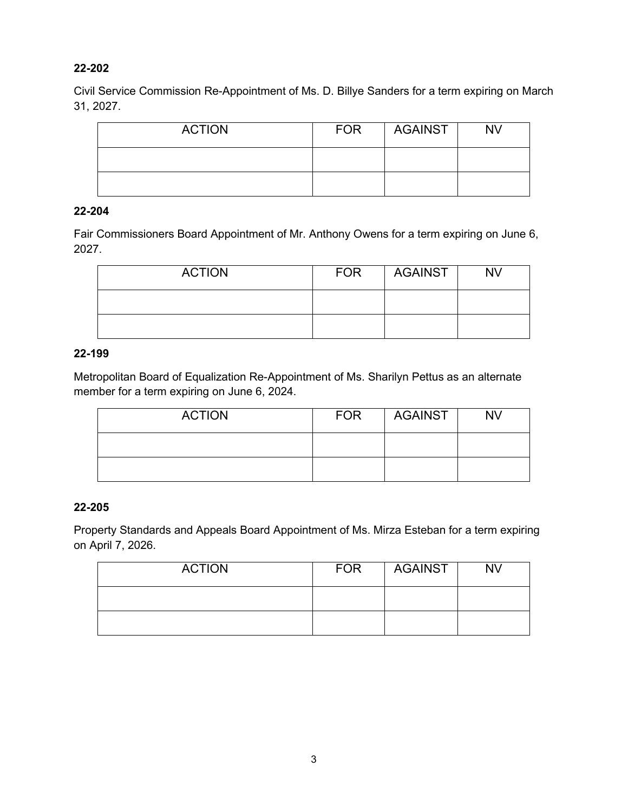# **22-202**

Civil Service Commission Re-Appointment of Ms. D. Billye Sanders for a term expiring on March 31, 2027.

| <b>ACTION</b> | <b>FOR</b> | AGAINST | <b>NV</b> |
|---------------|------------|---------|-----------|
|               |            |         |           |
|               |            |         |           |

### **22-204**

Fair Commissioners Board Appointment of Mr. Anthony Owens for a term expiring on June 6, 2027.

| <b>ACTION</b> | <b>FOR</b> | AGAINST | <b>NV</b> |
|---------------|------------|---------|-----------|
|               |            |         |           |
|               |            |         |           |

### **22-199**

Metropolitan Board of Equalization Re-Appointment of Ms. Sharilyn Pettus as an alternate member for a term expiring on June 6, 2024.

| <b>ACTION</b> | <b>FOR</b> | AGAINST | <b>NV</b> |
|---------------|------------|---------|-----------|
|               |            |         |           |
|               |            |         |           |

# **22-205**

Property Standards and Appeals Board Appointment of Ms. Mirza Esteban for a term expiring on April 7, 2026.

| <b>ACTION</b> | <b>FOR</b> | AGAINST | <b>NV</b> |
|---------------|------------|---------|-----------|
|               |            |         |           |
|               |            |         |           |